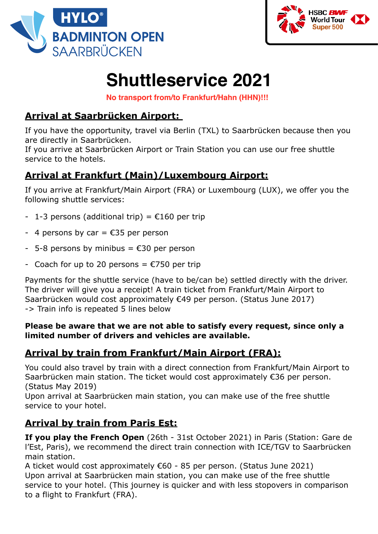



# **Shuttleservice 2021**

**No transport from/to Frankfurt/Hahn (HHN)!!!**

## **Arrival at Saarbrücken Airport:**

If you have the opportunity, travel via Berlin (TXL) to Saarbrücken because then you are directly in Saarbrücken.

If you arrive at Saarbrücken Airport or Train Station you can use our free shuttle service to the hotels.

### **Arrival at Frankfurt (Main)/Luxembourg Airport:**

If you arrive at Frankfurt/Main Airport (FRA) or Luxembourg (LUX), we offer you the following shuttle services:

- 1-3 persons (additional trip) =  $£160$  per trip
- 4 persons by car =  $€35$  per person
- $-$  5-8 persons by minibus =  $\epsilon$ 30 per person
- Coach for up to 20 persons =  $\epsilon$ 750 per trip

Payments for the shuttle service (have to be/can be) settled directly with the driver. The driver will give you a receipt! A train ticket from Frankfurt/Main Airport to Saarbrücken would cost approximately €49 per person. (Status June 2017) -> Train info is repeated 5 lines below

#### **Please be aware that we are not able to satisfy every request, since only a limited number of drivers and vehicles are available.**

## **Arrival by train from Frankfurt/Main Airport (FRA):**

You could also travel by train with a direct connection from Frankfurt/Main Airport to Saarbrücken main station. The ticket would cost approximately €36 per person. (Status May 2019)

Upon arrival at Saarbrücken main station, you can make use of the free shuttle service to your hotel.

## **Arrival by train from Paris Est:**

**If you play the French Open** (26th - 31st October 2021) in Paris (Station: Gare de l'Est, Paris), we recommend the direct train connection with ICE/TGV to Saarbrücken main station.

A ticket would cost approximately €60 - 85 per person. (Status June 2021) Upon arrival at Saarbrücken main station, you can make use of the free shuttle service to your hotel. (This journey is quicker and with less stopovers in comparison to a flight to Frankfurt (FRA).